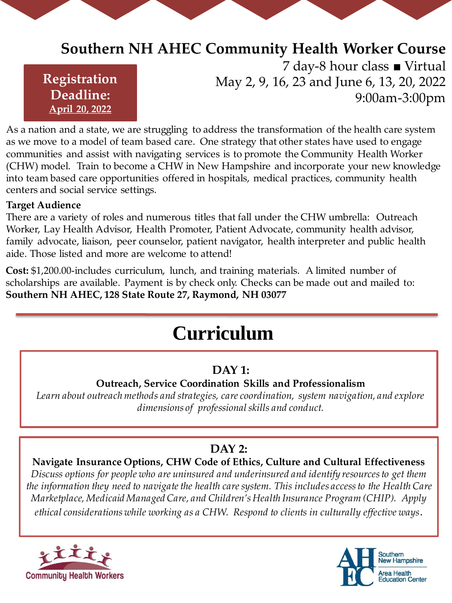# **Southern NH AHEC Community Health Worker Course**

# **Registration Deadline: April 20, 2022**

7 day-8 hour class ■ Virtual May 2, 9, 16, 23 and June 6, 13, 20, 2022 9:00am-3:00pm

As a nation and a state, we are struggling to address the transformation of the health care system as we move to a model of team based care. One strategy that other states have used to engage communities and assist with navigating services is to promote the Community Health Worker (CHW) model. Train to become a CHW in New Hampshire and incorporate your new knowledge into team based care opportunities offered in hospitals, medical practices, community health centers and social service settings.

#### **Target Audience**

There are a variety of roles and numerous titles that fall under the CHW umbrella: Outreach Worker, Lay Health Advisor, Health Promoter, Patient Advocate, community health advisor, family advocate, liaison, peer counselor, patient navigator, health interpreter and public health aide. Those listed and more are welcome to attend!

**Cost:** \$1,200.00-includes curriculum, lunch, and training materials. A limited number of scholarships are available. Payment is by check only. Checks can be made out and mailed to: **Southern NH AHEC, 128 State Route 27, Raymond, NH 03077**

# **Curriculum**

# **DAY 1:**

#### **Outreach, Service Coordination Skills and Professionalism**

*Learn about outreach methods and strategies, care coordination, system navigation, and explore dimensions of professional skills and conduct.*

# **DAY 2:**

# **Navigate Insurance Options, CHW Code of Ethics, Culture and Cultural Effectiveness**

*Discuss options for people who are uninsured and underinsured and identify resources to get them the information they need to navigate the health care system. This includes access to the Health Care Marketplace, Medicaid Managed Care, and Children's Health Insurance Program (CHIP). Apply ethical considerations while working as a CHW. Respond to clients in culturally effective ways.*